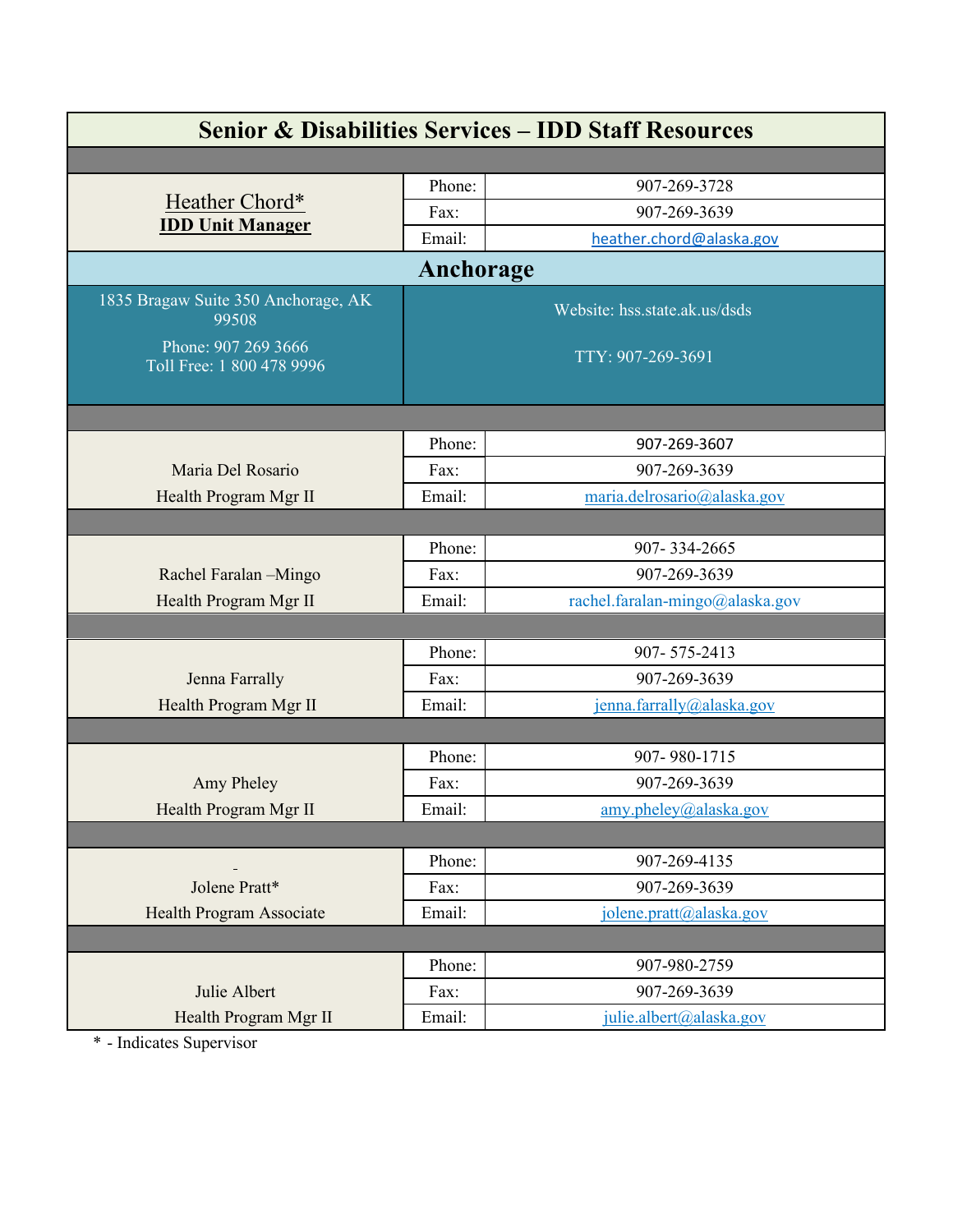| <b>Senior &amp; Disabilities Services - IDD Staff Resources</b> |        |                                 |  |  |
|-----------------------------------------------------------------|--------|---------------------------------|--|--|
|                                                                 |        |                                 |  |  |
|                                                                 | Phone: | 907-269-3728                    |  |  |
| Heather Chord*                                                  | Fax:   | 907-269-3639                    |  |  |
| <b>IDD Unit Manager</b>                                         | Email: | heather.chord@alaska.gov        |  |  |
| Anchorage                                                       |        |                                 |  |  |
| 1835 Bragaw Suite 350 Anchorage, AK<br>99508                    |        | Website: hss.state.ak.us/dsds   |  |  |
| Phone: 907 269 3666<br>Toll Free: 1 800 478 9996                |        | TTY: 907-269-3691               |  |  |
|                                                                 |        |                                 |  |  |
|                                                                 | Phone: | 907-269-3607                    |  |  |
| Maria Del Rosario                                               | Fax:   | 907-269-3639                    |  |  |
| Health Program Mgr II                                           | Email: | maria.delrosario@alaska.gov     |  |  |
|                                                                 |        |                                 |  |  |
|                                                                 | Phone: | 907-334-2665                    |  |  |
| Rachel Faralan -Mingo                                           | Fax:   | 907-269-3639                    |  |  |
| Health Program Mgr II                                           | Email: | rachel.faralan-mingo@alaska.gov |  |  |
|                                                                 |        |                                 |  |  |
|                                                                 | Phone: | 907-575-2413                    |  |  |
| Jenna Farrally                                                  | Fax:   | 907-269-3639                    |  |  |
| Health Program Mgr II                                           | Email: | jenna.farrally@alaska.gov       |  |  |
|                                                                 |        |                                 |  |  |
|                                                                 | Phone: | 907-980-1715                    |  |  |
| Amy Pheley                                                      | Fax:   | 907-269-3639                    |  |  |
| Health Program Mgr II                                           | Email: | amy.pheley@alaska.gov           |  |  |
|                                                                 |        |                                 |  |  |
|                                                                 | Phone: | 907-269-4135                    |  |  |
| Jolene Pratt*                                                   | Fax:   | 907-269-3639                    |  |  |
| Health Program Associate                                        | Email: | jolene.pratt@alaska.gov         |  |  |
|                                                                 |        |                                 |  |  |
|                                                                 | Phone: | 907-980-2759                    |  |  |
| Julie Albert                                                    | Fax:   | 907-269-3639                    |  |  |
| Health Program Mgr II                                           | Email: | julie.albert@alaska.gov         |  |  |

\* - Indicates Supervisor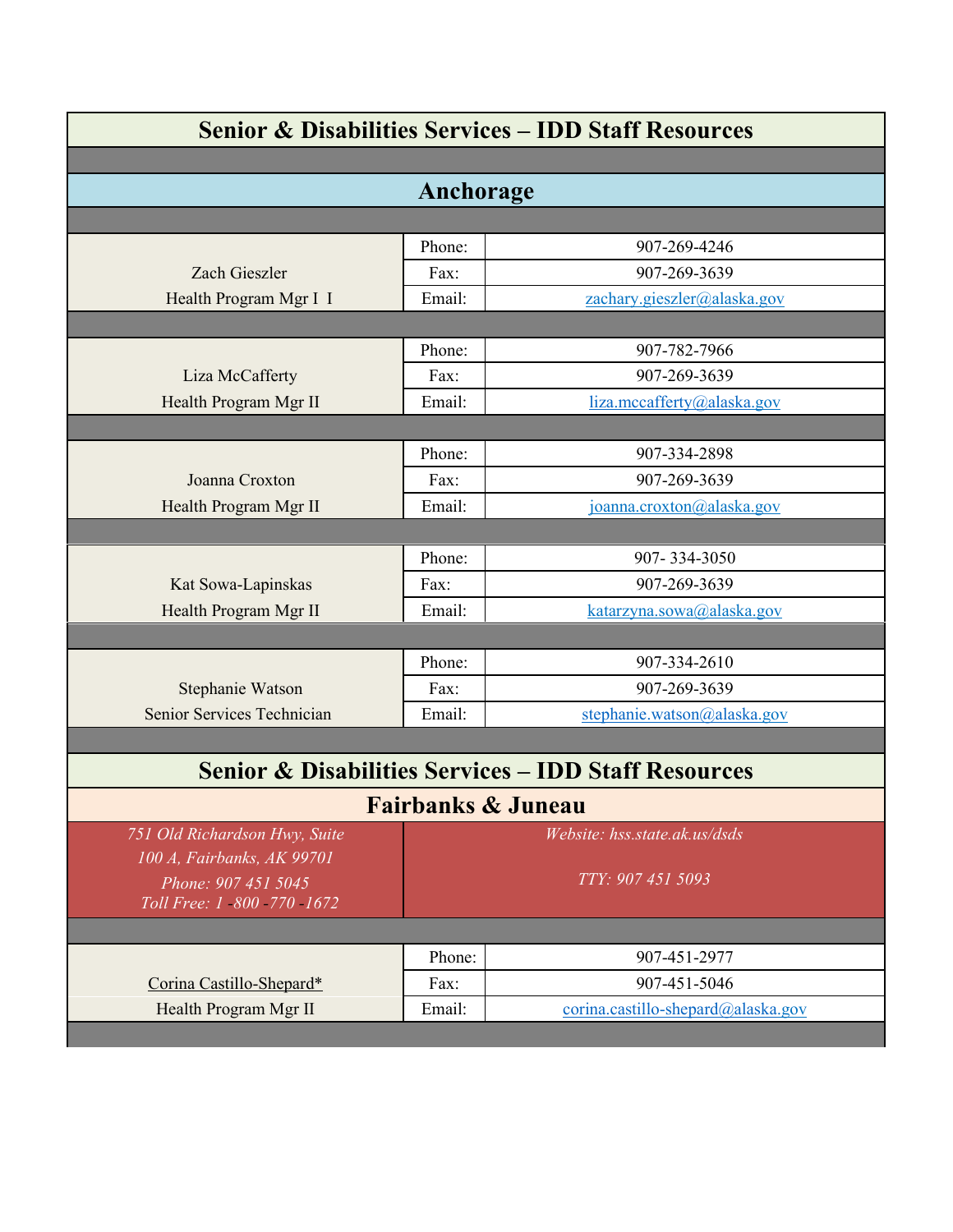| <b>Senior &amp; Disabilities Services - IDD Staff Resources</b> |        |                                    |  |  |
|-----------------------------------------------------------------|--------|------------------------------------|--|--|
|                                                                 |        |                                    |  |  |
| Anchorage                                                       |        |                                    |  |  |
|                                                                 |        |                                    |  |  |
|                                                                 | Phone: | 907-269-4246                       |  |  |
| Zach Gieszler                                                   | Fax:   | 907-269-3639                       |  |  |
| Health Program Mgr I I                                          | Email: | zachary.gieszler@alaska.gov        |  |  |
|                                                                 |        |                                    |  |  |
|                                                                 | Phone: | 907-782-7966                       |  |  |
| Liza McCafferty                                                 | Fax:   | 907-269-3639                       |  |  |
| Health Program Mgr II                                           | Email: | liza.mccafferty@alaska.gov         |  |  |
|                                                                 |        |                                    |  |  |
|                                                                 | Phone: | 907-334-2898                       |  |  |
| Joanna Croxton                                                  | Fax:   | 907-269-3639                       |  |  |
| Health Program Mgr II                                           | Email: | joanna.croxton@alaska.gov          |  |  |
|                                                                 |        |                                    |  |  |
|                                                                 | Phone: | 907-334-3050                       |  |  |
| Kat Sowa-Lapinskas                                              | Fax:   | 907-269-3639                       |  |  |
| Health Program Mgr II                                           | Email: | katarzyna.sowa@alaska.gov          |  |  |
|                                                                 |        |                                    |  |  |
|                                                                 | Phone: | 907-334-2610                       |  |  |
| Stephanie Watson                                                | Fax:   | 907-269-3639                       |  |  |
| Senior Services Technician                                      | Email: | stephanie.watson@alaska.gov        |  |  |
|                                                                 |        |                                    |  |  |
| <b>Senior &amp; Disabilities Services - IDD Staff Resources</b> |        |                                    |  |  |
|                                                                 |        | <b>Fairbanks &amp; Juneau</b>      |  |  |
| 751 Old Richardson Hwy, Suite                                   |        | Website: hss.state.ak.us/dsds      |  |  |
| 100 A, Fairbanks, AK 99701                                      |        |                                    |  |  |
| Phone: 907 451 5045                                             |        | TTY: 907 451 5093                  |  |  |
| Toll Free: 1 800 770 1672                                       |        |                                    |  |  |
|                                                                 |        |                                    |  |  |
|                                                                 | Phone: | 907-451-2977                       |  |  |
| Corina Castillo-Shepard*                                        | Fax:   | 907-451-5046                       |  |  |
| Health Program Mgr II                                           | Email: | corina.castillo-shepard@alaska.gov |  |  |
|                                                                 |        |                                    |  |  |